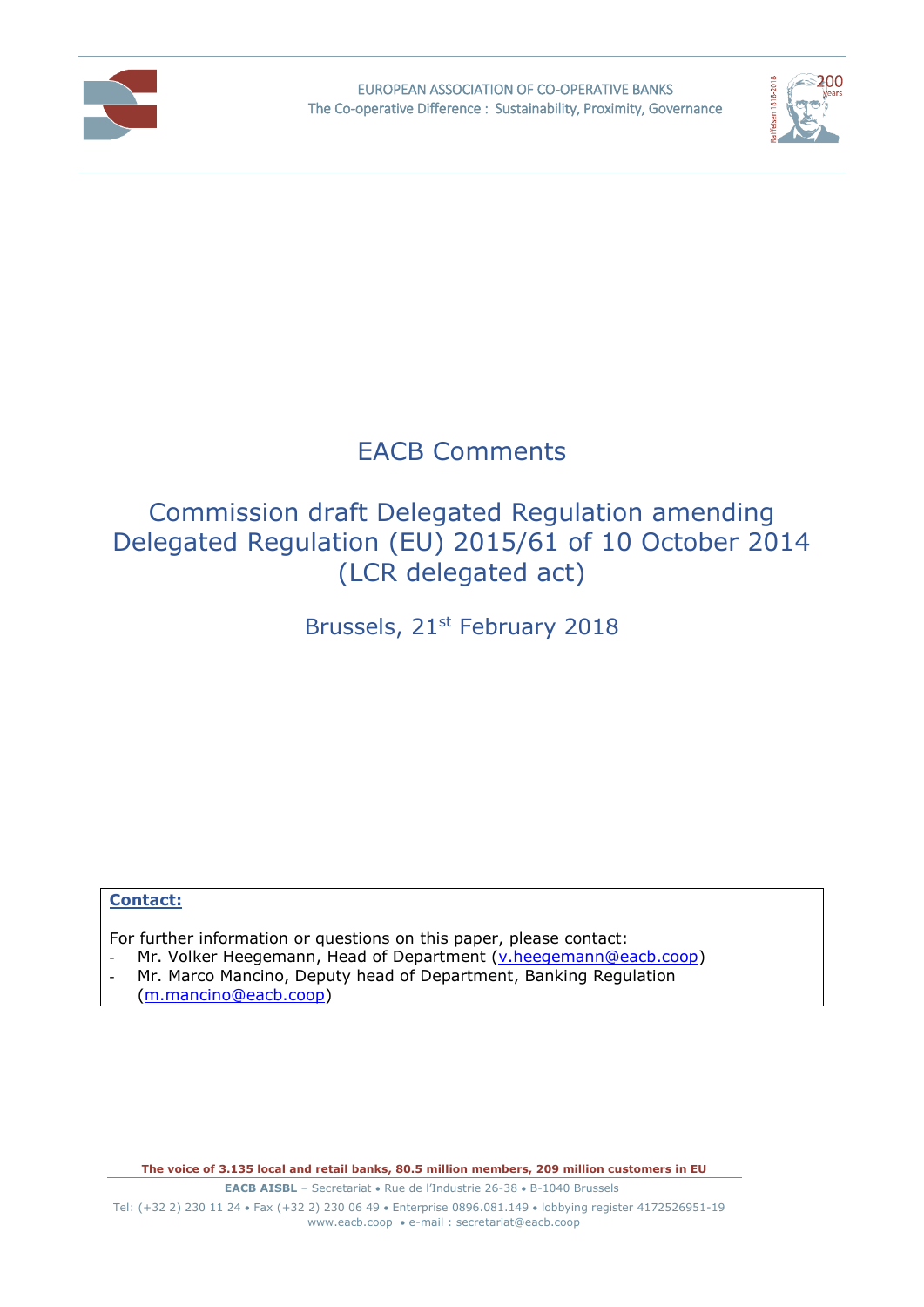



## EACB Comments

## Commission draft Delegated Regulation amending Delegated Regulation (EU) 2015/61 of 10 October 2014 (LCR delegated act)

Brussels, 21<sup>st</sup> February 2018

## **Contact:**

For further information or questions on this paper, please contact:

- Mr. Volker Heegemann, Head of Department [\(v.heegemann@eacb.coop\)](mailto:v.heegemann@eacb.coop)
- Mr. Marco Mancino, Deputy head of Department, Banking Regulation [\(m.mancino@eacb.coop\)](mailto:m.mancino@eacb.coop)

**The voice of 3.135 local and retail banks, 80.5 million members, 209 million customers in EU**

**EACB AISBL** – Secretariat • Rue de l'Industrie 26-38 • B-1040 Brussels Tel: (+32 2) 230 11 24 · Fax (+32 2) 230 06 49 · Enterprise 0896.081.149 · lobbying register 4172526951-19 [www.eacb.coop](http://www.eacb.coop/)  e-mail : [secretariat@eacb.coop](mailto:secretariat@eacb.coop)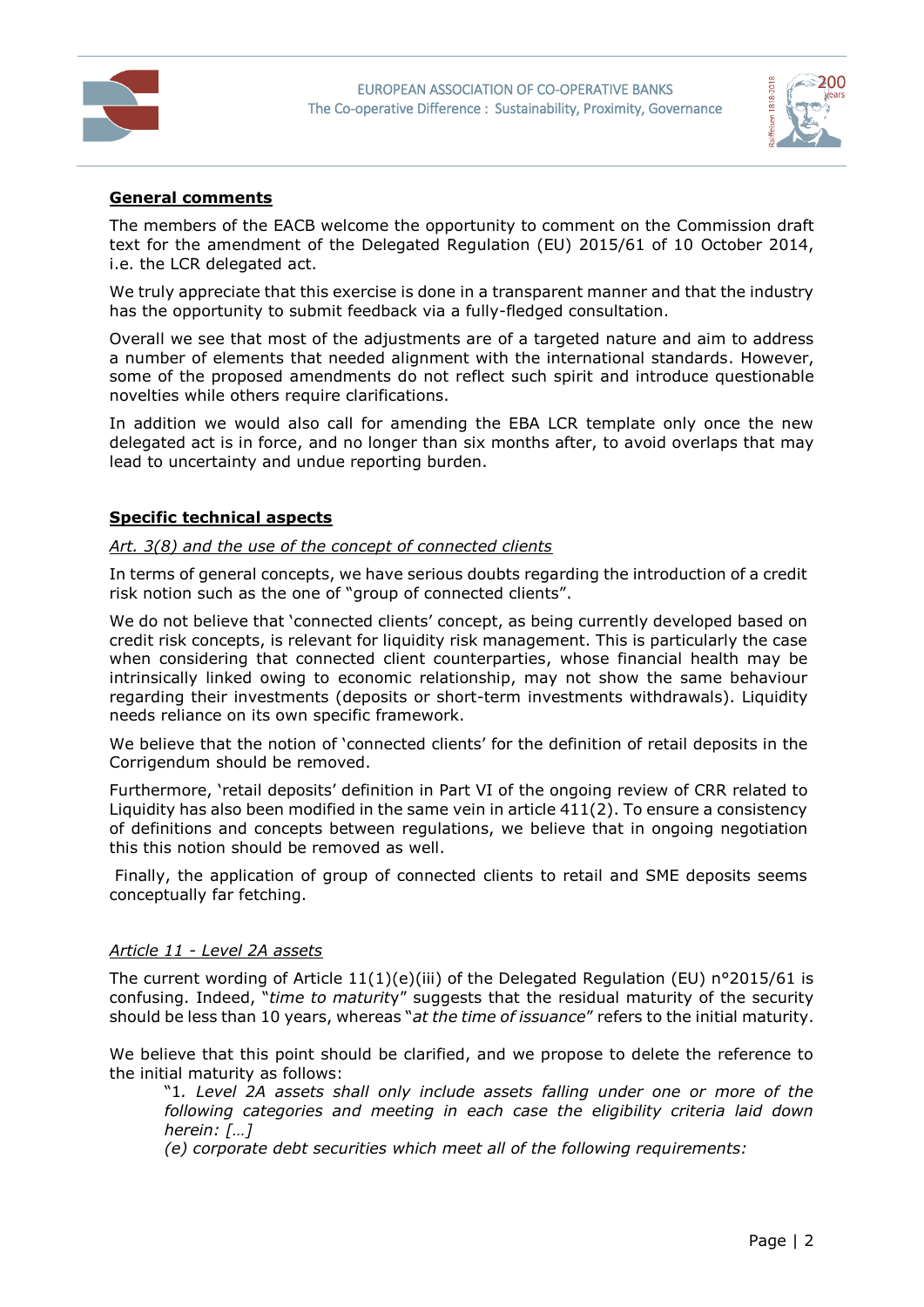



#### **General comments**

The members of the EACB welcome the opportunity to comment on the Commission draft text for the amendment of the Delegated Regulation (EU) 2015/61 of 10 October 2014, i.e. the LCR delegated act.

We truly appreciate that this exercise is done in a transparent manner and that the industry has the opportunity to submit feedback via a fully-fledged consultation.

Overall we see that most of the adjustments are of a targeted nature and aim to address a number of elements that needed alignment with the international standards. However, some of the proposed amendments do not reflect such spirit and introduce questionable novelties while others require clarifications.

In addition we would also call for amending the EBA LCR template only once the new delegated act is in force, and no longer than six months after, to avoid overlaps that may lead to uncertainty and undue reporting burden.

#### **Specific technical aspects**

#### *Art. 3(8) and the use of the concept of connected clients*

In terms of general concepts, we have serious doubts regarding the introduction of a credit risk notion such as the one of "group of connected clients".

We do not believe that 'connected clients' concept, as being currently developed based on credit risk concepts, is relevant for liquidity risk management. This is particularly the case when considering that connected client counterparties, whose financial health may be intrinsically linked owing to economic relationship, may not show the same behaviour regarding their investments (deposits or short-term investments withdrawals). Liquidity needs reliance on its own specific framework.

We believe that the notion of 'connected clients' for the definition of retail deposits in the Corrigendum should be removed.

Furthermore, 'retail deposits' definition in Part VI of the ongoing review of CRR related to Liquidity has also been modified in the same vein in article 411(2). To ensure a consistency of definitions and concepts between regulations, we believe that in ongoing negotiation this this notion should be removed as well.

Finally, the application of group of connected clients to retail and SME deposits seems conceptually far fetching.

#### *Article 11 - Level 2A assets*

The current wording of Article  $11(1)(e)(iii)$  of the Delegated Regulation (EU) n°2015/61 is confusing. Indeed, "*time to maturit*y" suggests that the residual maturity of the security should be less than 10 years, whereas "*at the time of issuance*" refers to the initial maturity.

We believe that this point should be clarified, and we propose to delete the reference to the initial maturity as follows:

"1*. Level 2A assets shall only include assets falling under one or more of the following categories and meeting in each case the eligibility criteria laid down herein: […]*

*(e) corporate debt securities which meet all of the following requirements:*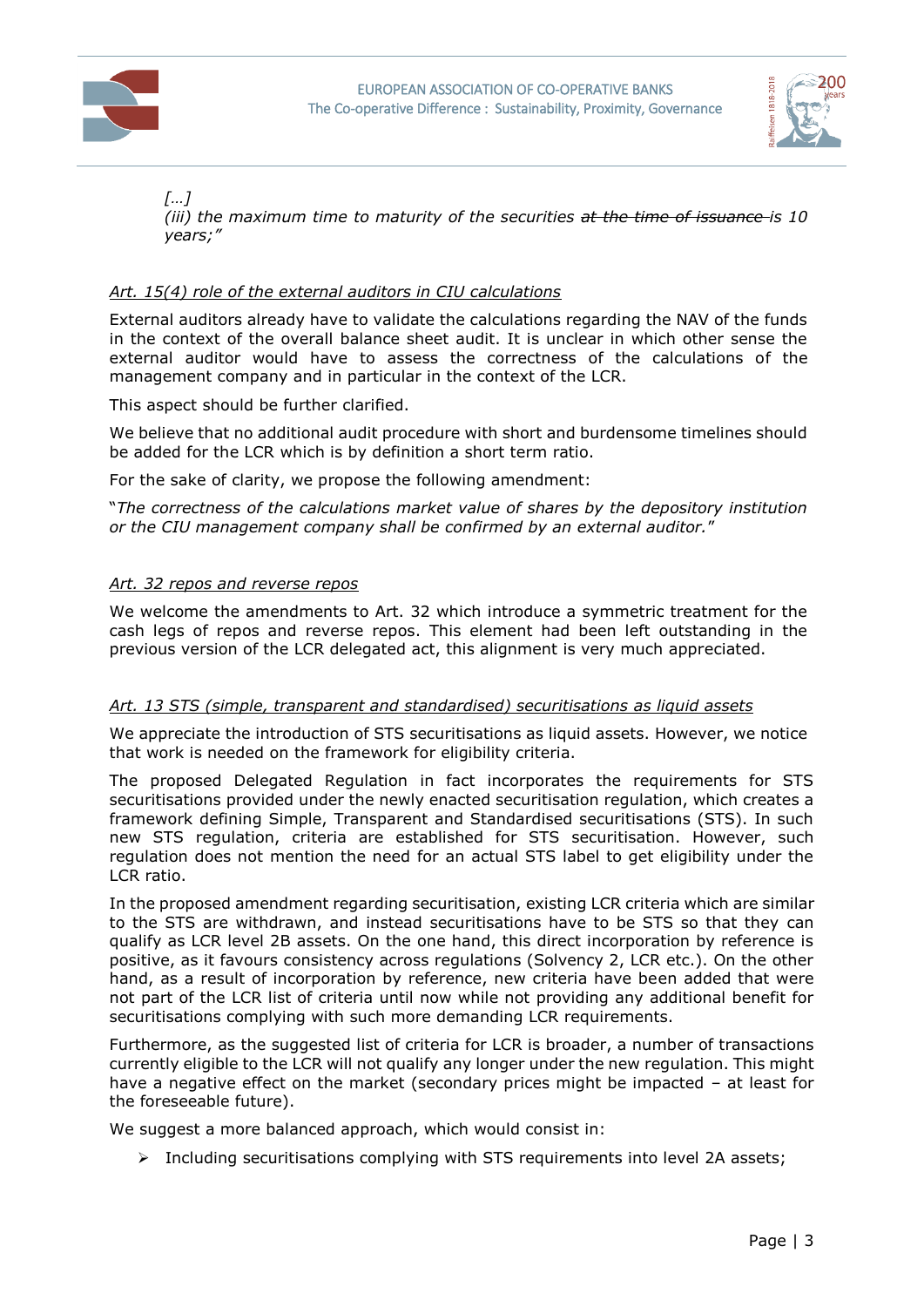



# *[…]*

*(iii) the maximum time to maturity of the securities at the time of issuance is 10 years;"*

## *Art. 15(4) role of the external auditors in CIU calculations*

External auditors already have to validate the calculations regarding the NAV of the funds in the context of the overall balance sheet audit. It is unclear in which other sense the external auditor would have to assess the correctness of the calculations of the management company and in particular in the context of the LCR.

This aspect should be further clarified.

We believe that no additional audit procedure with short and burdensome timelines should be added for the LCR which is by definition a short term ratio.

For the sake of clarity, we propose the following amendment:

"*The correctness of the calculations market value of shares by the depository institution or the CIU management company shall be confirmed by an external auditor.*"

## *Art. 32 repos and reverse repos*

We welcome the amendments to Art. 32 which introduce a symmetric treatment for the cash legs of repos and reverse repos. This element had been left outstanding in the previous version of the LCR delegated act, this alignment is very much appreciated.

#### *Art. 13 STS (simple, transparent and standardised) securitisations as liquid assets*

We appreciate the introduction of STS securitisations as liquid assets. However, we notice that work is needed on the framework for eligibility criteria.

The proposed Delegated Regulation in fact incorporates the requirements for STS securitisations provided under the newly enacted securitisation regulation, which creates a framework defining Simple, Transparent and Standardised securitisations (STS). In such new STS regulation, criteria are established for STS securitisation. However, such regulation does not mention the need for an actual STS label to get eligibility under the LCR ratio.

In the proposed amendment regarding securitisation, existing LCR criteria which are similar to the STS are withdrawn, and instead securitisations have to be STS so that they can qualify as LCR level 2B assets. On the one hand, this direct incorporation by reference is positive, as it favours consistency across regulations (Solvency 2, LCR etc.). On the other hand, as a result of incorporation by reference, new criteria have been added that were not part of the LCR list of criteria until now while not providing any additional benefit for securitisations complying with such more demanding LCR requirements.

Furthermore, as the suggested list of criteria for LCR is broader, a number of transactions currently eligible to the LCR will not qualify any longer under the new regulation. This might have a negative effect on the market (secondary prices might be impacted – at least for the foreseeable future).

We suggest a more balanced approach, which would consist in:

 $\triangleright$  Including securitisations complying with STS requirements into level 2A assets;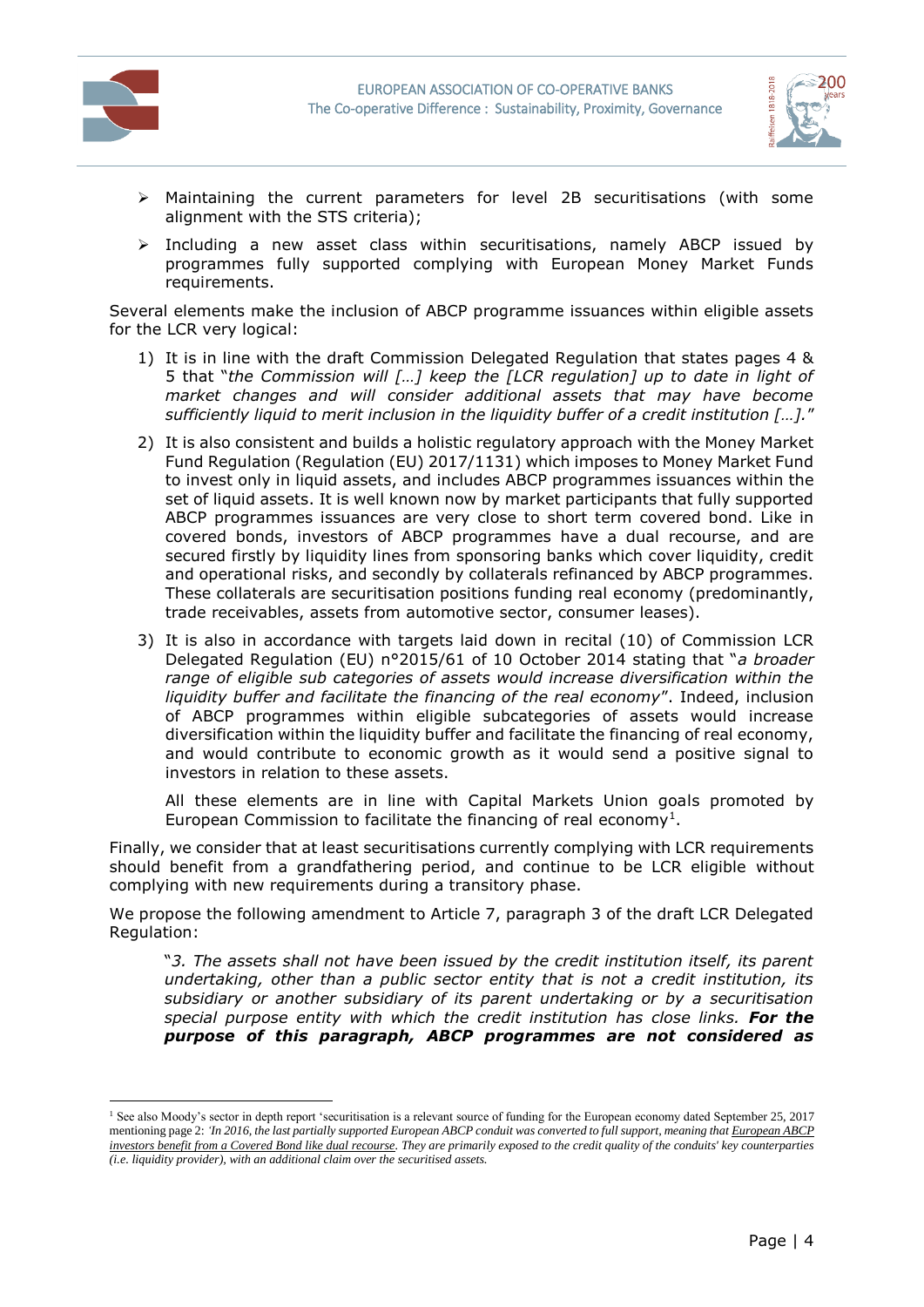



- $\triangleright$  Maintaining the current parameters for level 2B securitisations (with some alignment with the STS criteria);
- $\triangleright$  Including a new asset class within securitisations, namely ABCP issued by programmes fully supported complying with European Money Market Funds requirements.

Several elements make the inclusion of ABCP programme issuances within eligible assets for the LCR very logical:

- 1) It is in line with the draft Commission Delegated Regulation that states pages 4 & 5 that "*the Commission will […] keep the [LCR regulation] up to date in light of market changes and will consider additional assets that may have become sufficiently liquid to merit inclusion in the liquidity buffer of a credit institution […].*"
- 2) It is also consistent and builds a holistic regulatory approach with the Money Market Fund Regulation (Regulation (EU) 2017/1131) which imposes to Money Market Fund to invest only in liquid assets, and includes ABCP programmes issuances within the set of liquid assets. It is well known now by market participants that fully supported ABCP programmes issuances are very close to short term covered bond. Like in covered bonds, investors of ABCP programmes have a dual recourse, and are secured firstly by liquidity lines from sponsoring banks which cover liquidity, credit and operational risks, and secondly by collaterals refinanced by ABCP programmes. These collaterals are securitisation positions funding real economy (predominantly, trade receivables, assets from automotive sector, consumer leases).
- 3) It is also in accordance with targets laid down in recital (10) of Commission LCR Delegated Regulation (EU) n°2015/61 of 10 October 2014 stating that "*a broader range of eligible sub categories of assets would increase diversification within the liquidity buffer and facilitate the financing of the real economy*". Indeed, inclusion of ABCP programmes within eligible subcategories of assets would increase diversification within the liquidity buffer and facilitate the financing of real economy, and would contribute to economic growth as it would send a positive signal to investors in relation to these assets.

All these elements are in line with Capital Markets Union goals promoted by European Commission to facilitate the financing of real economy<sup>1</sup>.

Finally, we consider that at least securitisations currently complying with LCR requirements should benefit from a grandfathering period, and continue to be LCR eligible without complying with new requirements during a transitory phase.

We propose the following amendment to Article 7, paragraph 3 of the draft LCR Delegated Regulation:

"*3. The assets shall not have been issued by the credit institution itself, its parent undertaking, other than a public sector entity that is not a credit institution, its subsidiary or another subsidiary of its parent undertaking or by a securitisation special purpose entity with which the credit institution has close links. For the purpose of this paragraph, ABCP programmes are not considered as* 

<sup>&</sup>lt;sup>1</sup> See also Moody's sector in depth report 'securitisation is a relevant source of funding for the European economy dated September 25, 2017 mentioning page 2: *'In 2016, the last partially supported European ABCP conduit was converted to full support, meaning that European ABCP investors benefit from a Covered Bond like dual recourse. They are primarily exposed to the credit quality of the conduits' key counterparties (i.e. liquidity provider), with an additional claim over the securitised assets.*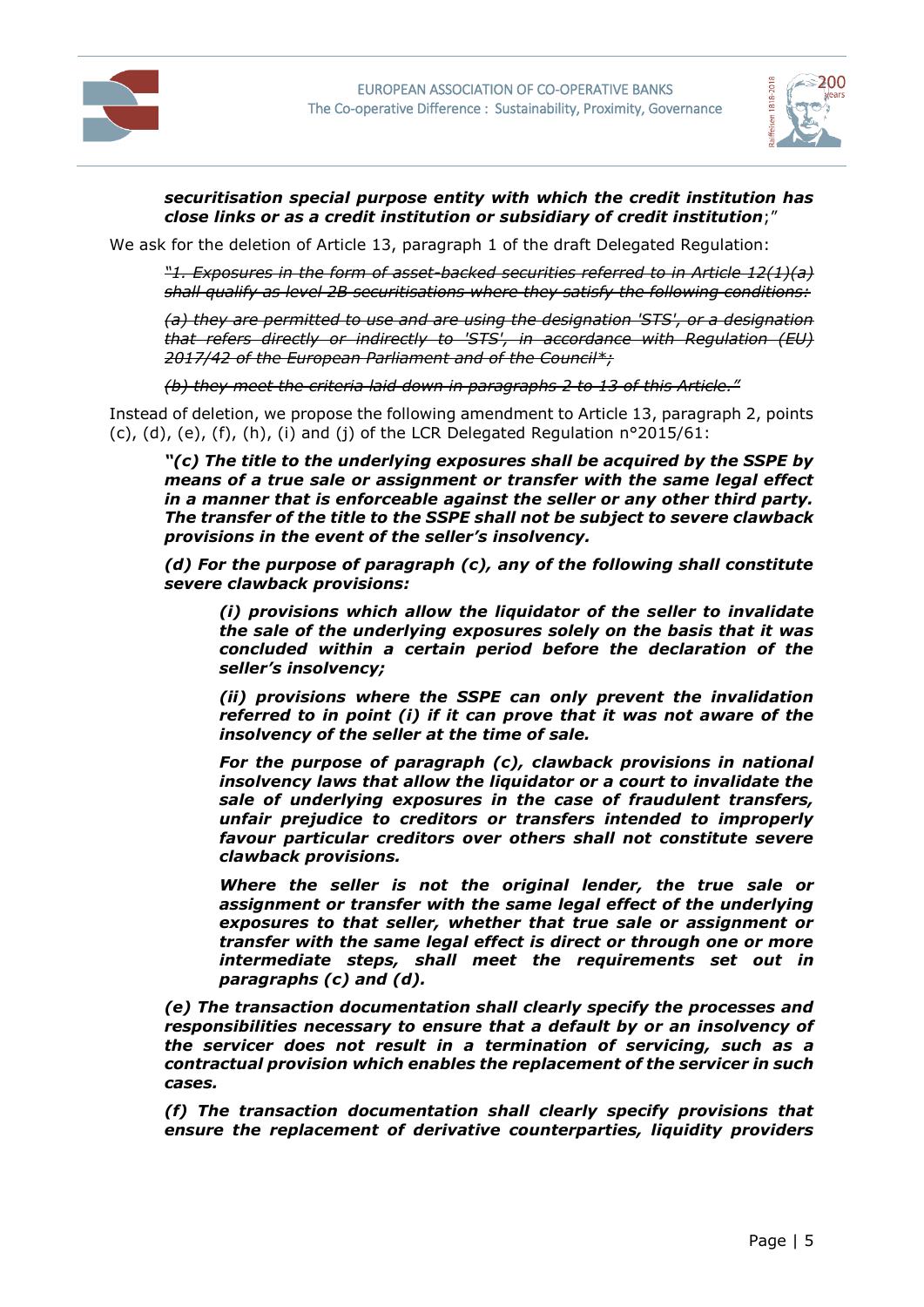



### *securitisation special purpose entity with which the credit institution has close links or as a credit institution or subsidiary of credit institution*;"

We ask for the deletion of Article 13, paragraph 1 of the draft Delegated Regulation:

*"1. Exposures in the form of asset-backed securities referred to in Article 12(1)(a) shall qualify as level 2B securitisations where they satisfy the following conditions:*

*(a) they are permitted to use and are using the designation 'STS', or a designation that refers directly or indirectly to 'STS', in accordance with Regulation (EU) 2017/42 of the European Parliament and of the Council\*;*

*(b) they meet the criteria laid down in paragraphs 2 to 13 of this Article."*

Instead of deletion, we propose the following amendment to Article 13, paragraph 2, points (c), (d), (e), (f), (h), (i) and (j) of the LCR Delegated Regulation n°2015/61:

*"(c) The title to the underlying exposures shall be acquired by the SSPE by means of a true sale or assignment or transfer with the same legal effect in a manner that is enforceable against the seller or any other third party. The transfer of the title to the SSPE shall not be subject to severe clawback provisions in the event of the seller's insolvency.*

*(d) For the purpose of paragraph (c), any of the following shall constitute severe clawback provisions:* 

*(i) provisions which allow the liquidator of the seller to invalidate the sale of the underlying exposures solely on the basis that it was concluded within a certain period before the declaration of the seller's insolvency;* 

*(ii) provisions where the SSPE can only prevent the invalidation referred to in point (i) if it can prove that it was not aware of the insolvency of the seller at the time of sale.*

*For the purpose of paragraph (c), clawback provisions in national insolvency laws that allow the liquidator or a court to invalidate the sale of underlying exposures in the case of fraudulent transfers, unfair prejudice to creditors or transfers intended to improperly favour particular creditors over others shall not constitute severe clawback provisions.* 

*Where the seller is not the original lender, the true sale or assignment or transfer with the same legal effect of the underlying exposures to that seller, whether that true sale or assignment or transfer with the same legal effect is direct or through one or more intermediate steps, shall meet the requirements set out in paragraphs (c) and (d).* 

*(e) The transaction documentation shall clearly specify the processes and responsibilities necessary to ensure that a default by or an insolvency of the servicer does not result in a termination of servicing, such as a contractual provision which enables the replacement of the servicer in such cases.*

*(f) The transaction documentation shall clearly specify provisions that ensure the replacement of derivative counterparties, liquidity providers*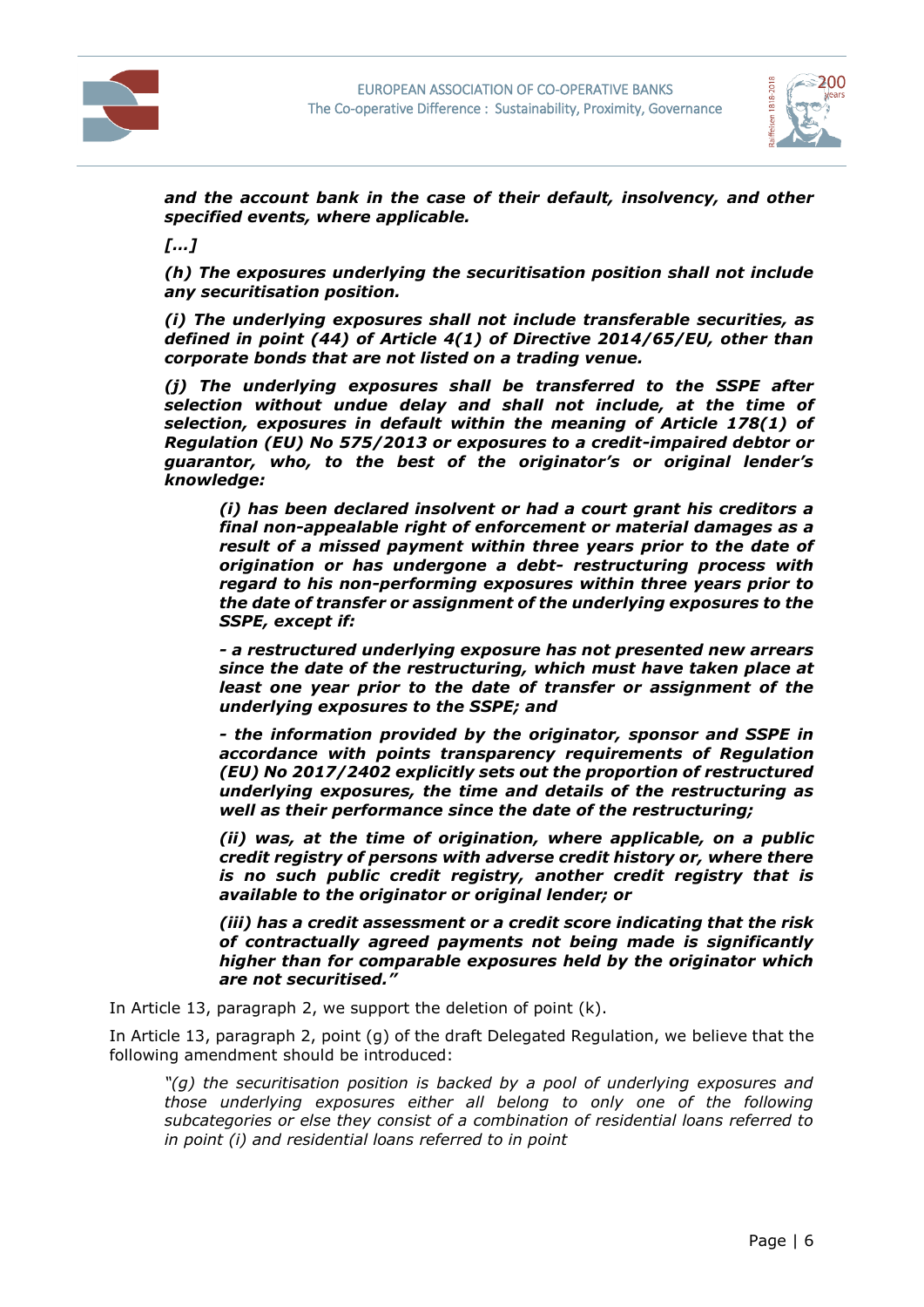



*and the account bank in the case of their default, insolvency, and other specified events, where applicable.*

*[…]*

*(h) The exposures underlying the securitisation position shall not include any securitisation position.*

*(i) The underlying exposures shall not include transferable securities, as defined in point (44) of Article 4(1) of Directive 2014/65/EU, other than corporate bonds that are not listed on a trading venue.*

*(j) The underlying exposures shall be transferred to the SSPE after selection without undue delay and shall not include, at the time of selection, exposures in default within the meaning of Article 178(1) of Regulation (EU) No 575/2013 or exposures to a credit-impaired debtor or guarantor, who, to the best of the originator's or original lender's knowledge:*

*(i) has been declared insolvent or had a court grant his creditors a final non-appealable right of enforcement or material damages as a result of a missed payment within three years prior to the date of origination or has undergone a debt- restructuring process with regard to his non-performing exposures within three years prior to the date of transfer or assignment of the underlying exposures to the SSPE, except if:*

*- a restructured underlying exposure has not presented new arrears since the date of the restructuring, which must have taken place at least one year prior to the date of transfer or assignment of the underlying exposures to the SSPE; and*

*- the information provided by the originator, sponsor and SSPE in accordance with points transparency requirements of Regulation (EU) No 2017/2402 explicitly sets out the proportion of restructured underlying exposures, the time and details of the restructuring as well as their performance since the date of the restructuring;*

*(ii) was, at the time of origination, where applicable, on a public credit registry of persons with adverse credit history or, where there is no such public credit registry, another credit registry that is available to the originator or original lender; or*

*(iii) has a credit assessment or a credit score indicating that the risk of contractually agreed payments not being made is significantly higher than for comparable exposures held by the originator which are not securitised."*

In Article 13, paragraph 2, we support the deletion of point (k).

In Article 13, paragraph 2, point (g) of the draft Delegated Regulation, we believe that the following amendment should be introduced:

*"(g) the securitisation position is backed by a pool of underlying exposures and those underlying exposures either all belong to only one of the following subcategories or else they consist of a combination of residential loans referred to in point (i) and residential loans referred to in point*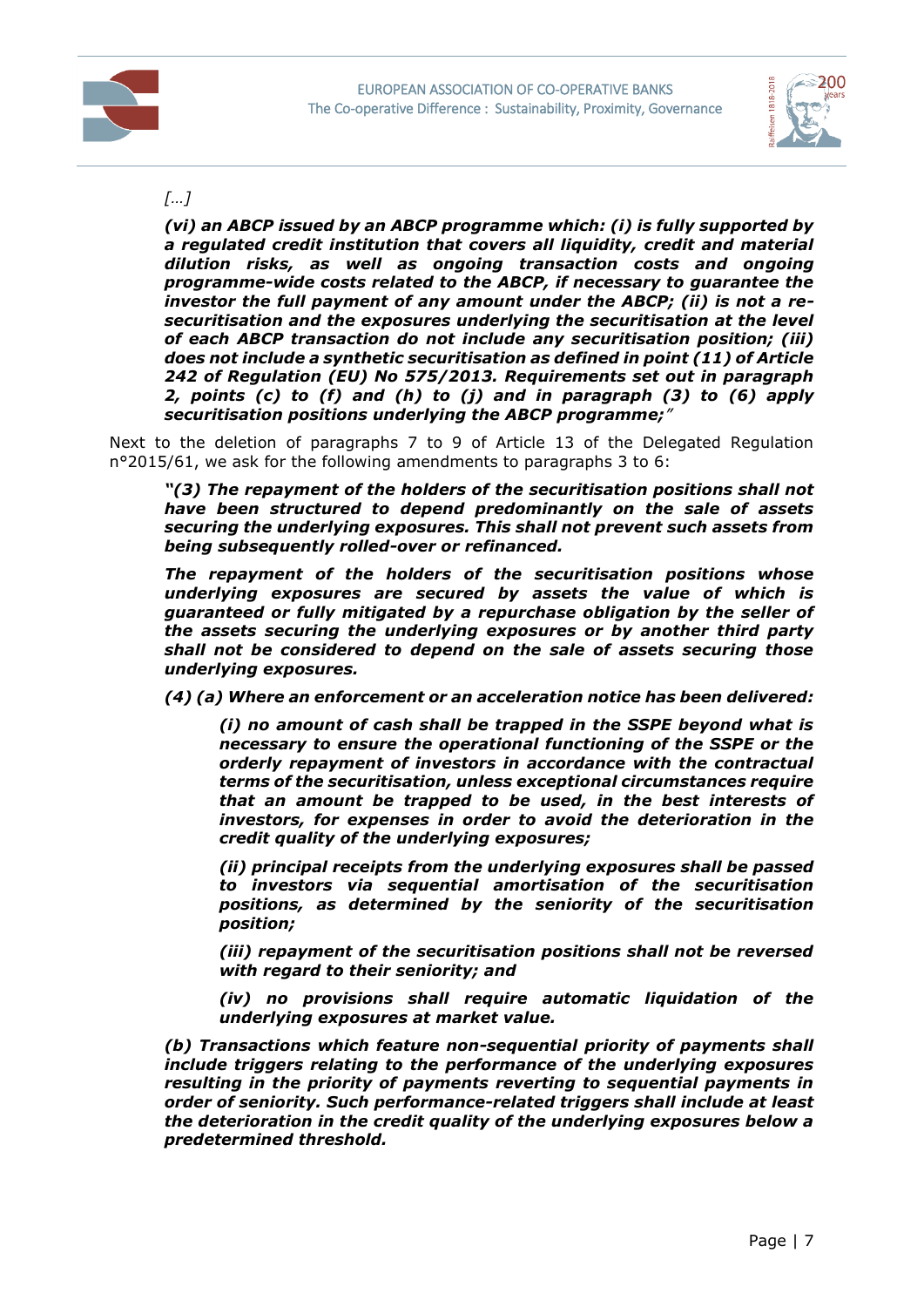



## *[…]*

*(vi) an ABCP issued by an ABCP programme which: (i) is fully supported by a regulated credit institution that covers all liquidity, credit and material dilution risks, as well as ongoing transaction costs and ongoing programme-wide costs related to the ABCP, if necessary to guarantee the investor the full payment of any amount under the ABCP; (ii) is not a resecuritisation and the exposures underlying the securitisation at the level of each ABCP transaction do not include any securitisation position; (iii) does not include a synthetic securitisation as defined in point (11) of Article 242 of Regulation (EU) No 575/2013. Requirements set out in paragraph 2, points (c) to (f) and (h) to (j) and in paragraph (3) to (6) apply securitisation positions underlying the ABCP programme;"*

Next to the deletion of paragraphs 7 to 9 of Article 13 of the Delegated Regulation n°2015/61, we ask for the following amendments to paragraphs 3 to 6:

*"(3) The repayment of the holders of the securitisation positions shall not have been structured to depend predominantly on the sale of assets securing the underlying exposures. This shall not prevent such assets from being subsequently rolled-over or refinanced.*

*The repayment of the holders of the securitisation positions whose underlying exposures are secured by assets the value of which is guaranteed or fully mitigated by a repurchase obligation by the seller of the assets securing the underlying exposures or by another third party shall not be considered to depend on the sale of assets securing those underlying exposures.*

*(4) (a) Where an enforcement or an acceleration notice has been delivered:*

*(i) no amount of cash shall be trapped in the SSPE beyond what is necessary to ensure the operational functioning of the SSPE or the orderly repayment of investors in accordance with the contractual terms of the securitisation, unless exceptional circumstances require that an amount be trapped to be used, in the best interests of investors, for expenses in order to avoid the deterioration in the credit quality of the underlying exposures;*

*(ii) principal receipts from the underlying exposures shall be passed to investors via sequential amortisation of the securitisation positions, as determined by the seniority of the securitisation position;*

*(iii) repayment of the securitisation positions shall not be reversed with regard to their seniority; and*

*(iv) no provisions shall require automatic liquidation of the underlying exposures at market value.*

*(b) Transactions which feature non-sequential priority of payments shall include triggers relating to the performance of the underlying exposures resulting in the priority of payments reverting to sequential payments in order of seniority. Such performance-related triggers shall include at least the deterioration in the credit quality of the underlying exposures below a predetermined threshold.*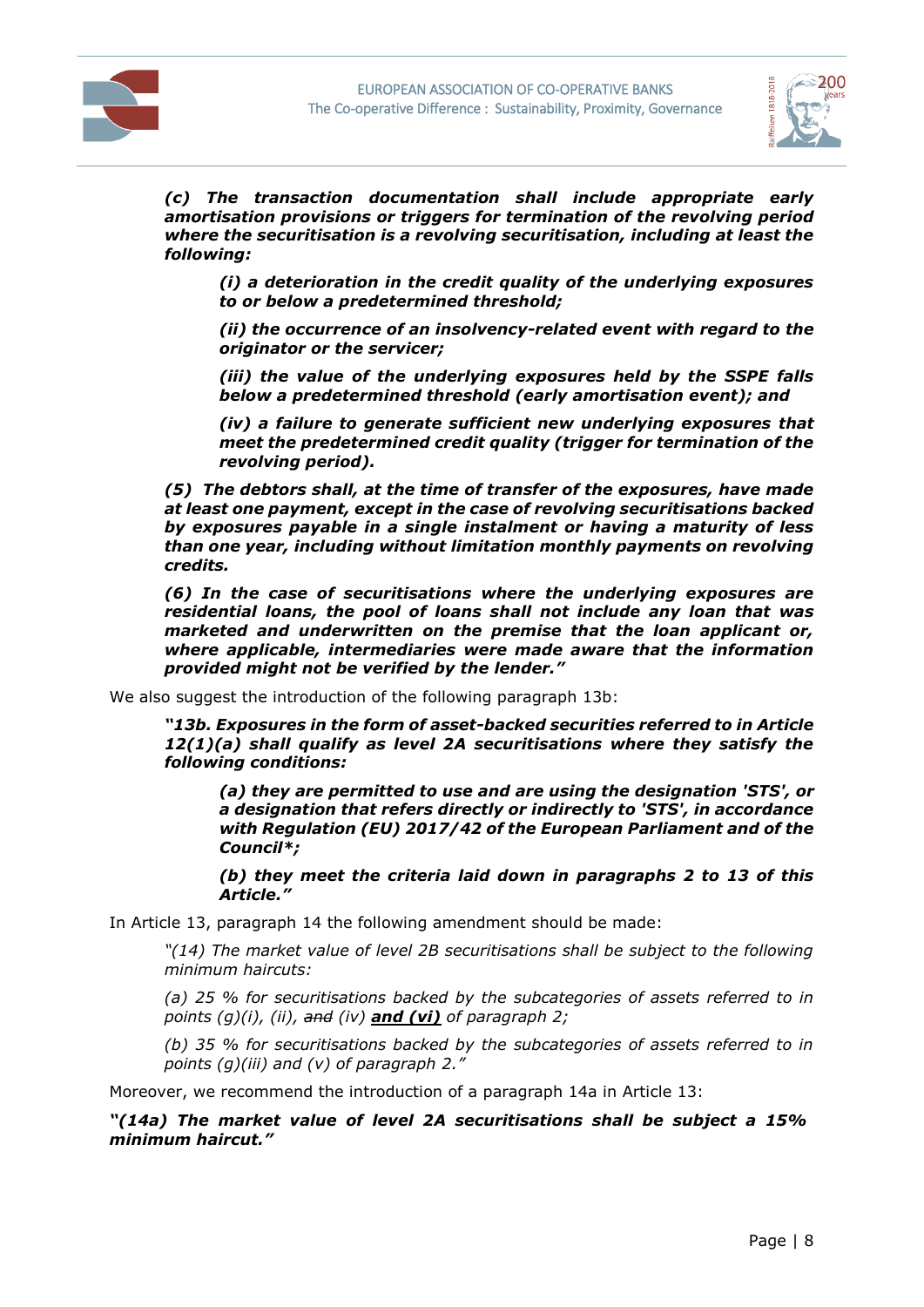



*(c) The transaction documentation shall include appropriate early amortisation provisions or triggers for termination of the revolving period where the securitisation is a revolving securitisation, including at least the following:*

*(i) a deterioration in the credit quality of the underlying exposures to or below a predetermined threshold;*

*(ii) the occurrence of an insolvency-related event with regard to the originator or the servicer;*

*(iii) the value of the underlying exposures held by the SSPE falls below a predetermined threshold (early amortisation event); and*

*(iv) a failure to generate sufficient new underlying exposures that meet the predetermined credit quality (trigger for termination of the revolving period).*

*(5) The debtors shall, at the time of transfer of the exposures, have made at least one payment, except in the case of revolving securitisations backed by exposures payable in a single instalment or having a maturity of less than one year, including without limitation monthly payments on revolving credits.*

*(6) In the case of securitisations where the underlying exposures are residential loans, the pool of loans shall not include any loan that was marketed and underwritten on the premise that the loan applicant or, where applicable, intermediaries were made aware that the information provided might not be verified by the lender."*

We also suggest the introduction of the following paragraph 13b:

*"13b. Exposures in the form of asset-backed securities referred to in Article 12(1)(a) shall qualify as level 2A securitisations where they satisfy the following conditions:* 

*(a) they are permitted to use and are using the designation 'STS', or a designation that refers directly or indirectly to 'STS', in accordance with Regulation (EU) 2017/42 of the European Parliament and of the Council\*;* 

*(b) they meet the criteria laid down in paragraphs 2 to 13 of this Article."*

In Article 13, paragraph 14 the following amendment should be made:

*"(14) The market value of level 2B securitisations shall be subject to the following minimum haircuts:*

*(a) 25 % for securitisations backed by the subcategories of assets referred to in points (g)(i), (ii), and (iv) and (vi) of paragraph 2;* 

*(b) 35 % for securitisations backed by the subcategories of assets referred to in points (g)(iii) and (v) of paragraph 2."*

Moreover, we recommend the introduction of a paragraph 14a in Article 13:

*"(14a) The market value of level 2A securitisations shall be subject a 15% minimum haircut."*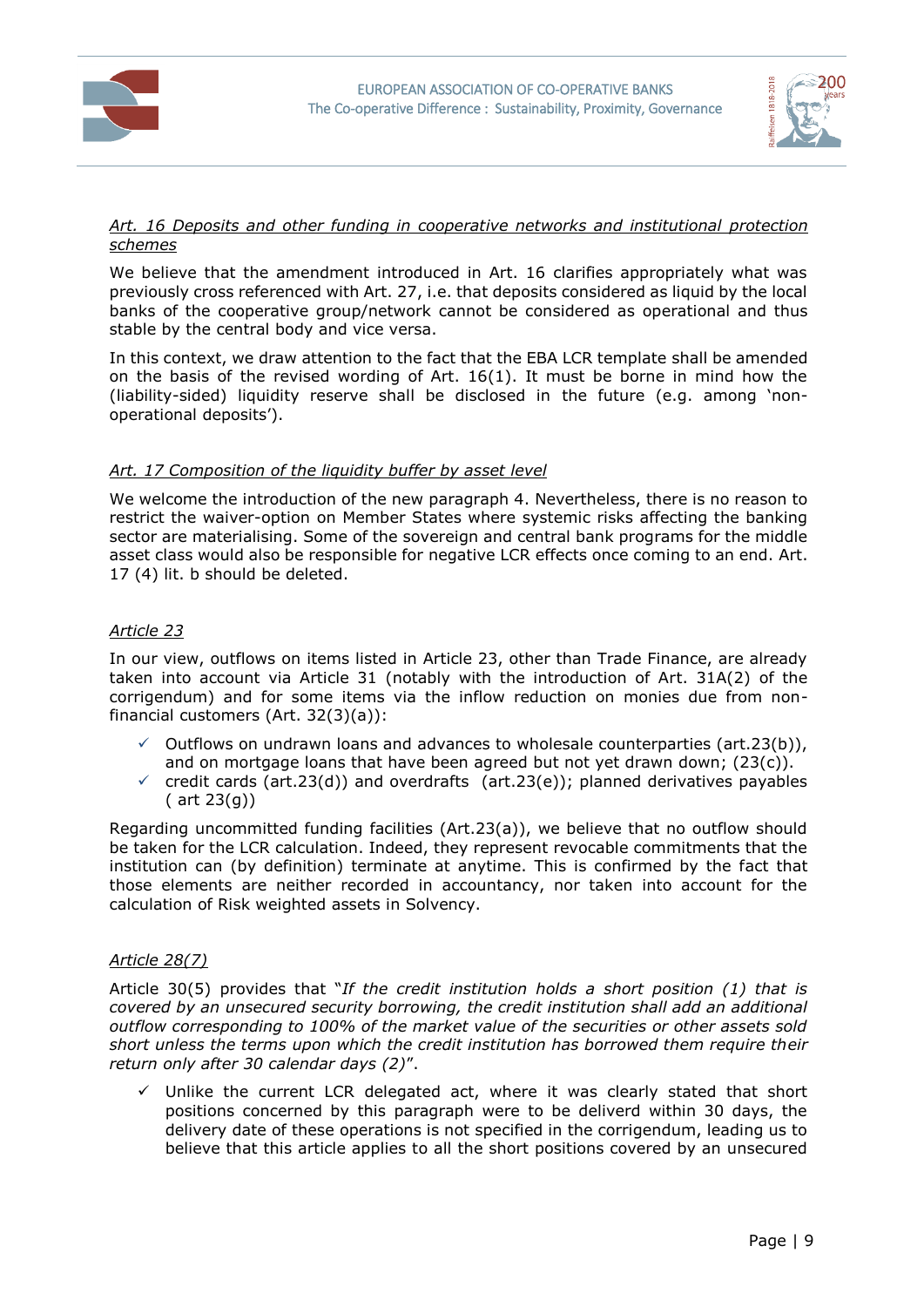



#### *Art. 16 Deposits and other funding in cooperative networks and institutional protection schemes*

We believe that the amendment introduced in Art. 16 clarifies appropriately what was previously cross referenced with Art. 27, i.e. that deposits considered as liquid by the local banks of the cooperative group/network cannot be considered as operational and thus stable by the central body and vice versa.

In this context, we draw attention to the fact that the EBA LCR template shall be amended on the basis of the revised wording of Art. 16(1). It must be borne in mind how the (liability-sided) liquidity reserve shall be disclosed in the future (e.g. among 'nonoperational deposits').

## *Art. 17 Composition of the liquidity buffer by asset level*

We welcome the introduction of the new paragraph 4. Nevertheless, there is no reason to restrict the waiver-option on Member States where systemic risks affecting the banking sector are materialising. Some of the sovereign and central bank programs for the middle asset class would also be responsible for negative LCR effects once coming to an end. Art. 17 (4) lit. b should be deleted.

## *Article 23*

In our view, outflows on items listed in Article 23, other than Trade Finance, are already taken into account via Article 31 (notably with the introduction of Art. 31A(2) of the corrigendum) and for some items via the inflow reduction on monies due from nonfinancial customers (Art. 32(3)(a)):

- $\checkmark$  Outflows on undrawn loans and advances to wholesale counterparties (art.23(b)), and on mortgage loans that have been agreed but not yet drawn down;  $(23(c))$ .
- $\checkmark$  credit cards (art.23(d)) and overdrafts (art.23(e)); planned derivatives payables ( art 23(g))

Regarding uncommitted funding facilities (Art.23(a)), we believe that no outflow should be taken for the LCR calculation. Indeed, they represent revocable commitments that the institution can (by definition) terminate at anytime. This is confirmed by the fact that those elements are neither recorded in accountancy, nor taken into account for the calculation of Risk weighted assets in Solvency.

## *Article 28(7)*

Article 30(5) provides that "*If the credit institution holds a short position (1) that is covered by an unsecured security borrowing, the credit institution shall add an additional outflow corresponding to 100% of the market value of the securities or other assets sold short unless the terms upon which the credit institution has borrowed them require their return only after 30 calendar days (2)*".

 $\checkmark$  Unlike the current LCR delegated act, where it was clearly stated that short positions concerned by this paragraph were to be deliverd within 30 days, the delivery date of these operations is not specified in the corrigendum, leading us to believe that this article applies to all the short positions covered by an unsecured